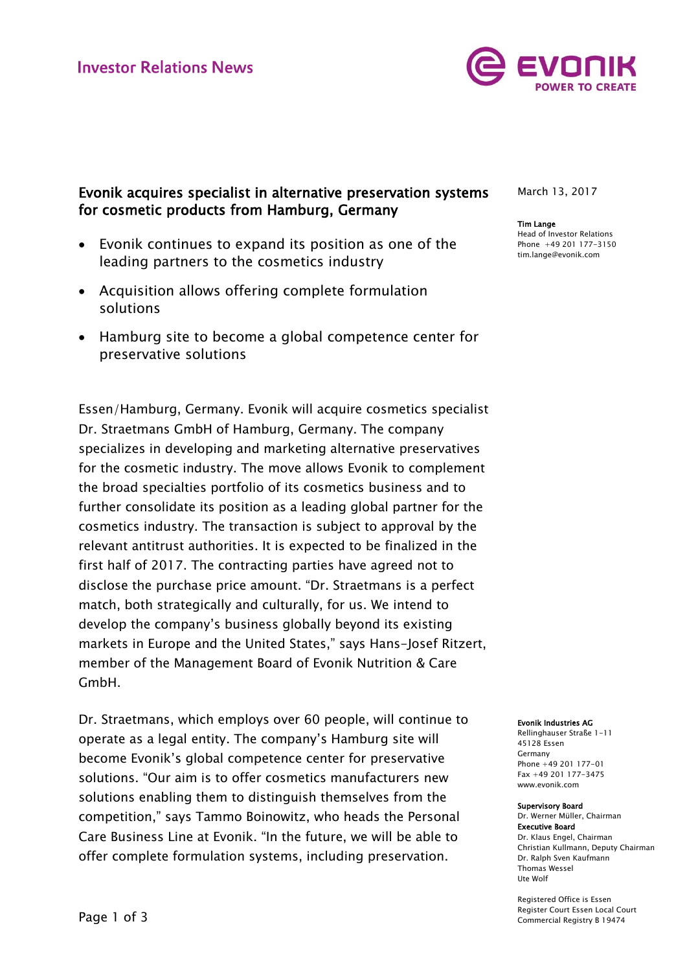

# Evonik acquires specialist in alternative preservation systems for cosmetic products from Hamburg, Germany

- Evonik continues to expand its position as one of the leading partners to the cosmetics industry
- Acquisition allows offering complete formulation solutions
- Hamburg site to become a global competence center for preservative solutions

Essen/Hamburg, Germany. Evonik will acquire cosmetics specialist Dr. Straetmans GmbH of Hamburg, Germany. The company specializes in developing and marketing alternative preservatives for the cosmetic industry. The move allows Evonik to complement the broad specialties portfolio of its cosmetics business and to further consolidate its position as a leading global partner for the cosmetics industry. The transaction is subject to approval by the relevant antitrust authorities. It is expected to be finalized in the first half of 2017. The contracting parties have agreed not to disclose the purchase price amount. "Dr. Straetmans is a perfect match, both strategically and culturally, for us. We intend to develop the company's business globally beyond its existing markets in Europe and the United States," says Hans-Josef Ritzert, member of the Management Board of Evonik Nutrition & Care GmbH.

Dr. Straetmans, which employs over 60 people, will continue to operate as a legal entity. The company's Hamburg site will become Evonik's global competence center for preservative solutions. "Our aim is to offer cosmetics manufacturers new solutions enabling them to distinguish themselves from the competition," says Tammo Boinowitz, who heads the Personal Care Business Line at Evonik. "In the future, we will be able to offer complete formulation systems, including preservation.

March 13, 2017

## Tim Lange

Head of Investor Relations Phone +49 201 177-3150 tim.lange@evonik.com

#### Evonik Industries AG

Rellinghauser Straße 1-11 45128 Essen Germany Phone +49 201 177-01 Fax +49 201 177-3475 www.evonik.com

#### Supervisory Board

Dr. Werner Müller, Chairman Executive Board Dr. Klaus Engel, Chairman Christian Kullmann, Deputy Chairman Dr. Ralph Sven Kaufmann Thomas Wessel Ute Wolf

Registered Office is Essen Register Court Essen Local Court Commercial Registry B 19474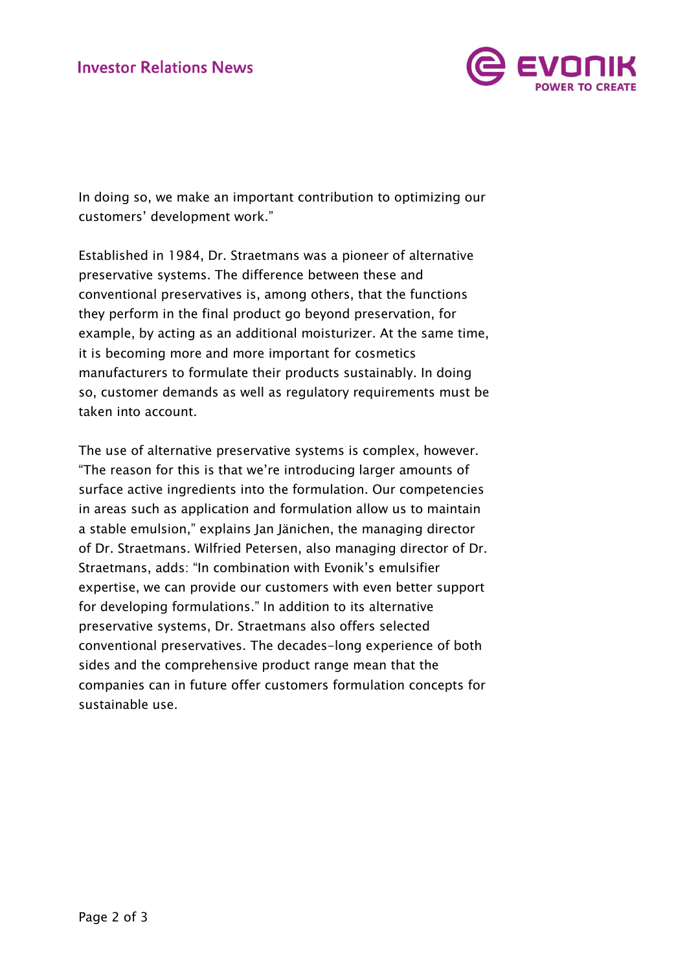

In doing so, we make an important contribution to optimizing our customers' development work."

Established in 1984, Dr. Straetmans was a pioneer of alternative preservative systems. The difference between these and conventional preservatives is, among others, that the functions they perform in the final product go beyond preservation, for example, by acting as an additional moisturizer. At the same time, it is becoming more and more important for cosmetics manufacturers to formulate their products sustainably. In doing so, customer demands as well as regulatory requirements must be taken into account.

The use of alternative preservative systems is complex, however. "The reason for this is that we're introducing larger amounts of surface active ingredients into the formulation. Our competencies in areas such as application and formulation allow us to maintain a stable emulsion," explains Jan Jänichen, the managing director of Dr. Straetmans. Wilfried Petersen, also managing director of Dr. Straetmans, adds: "In combination with Evonik's emulsifier expertise, we can provide our customers with even better support for developing formulations." In addition to its alternative preservative systems, Dr. Straetmans also offers selected conventional preservatives. The decades-long experience of both sides and the comprehensive product range mean that the companies can in future offer customers formulation concepts for sustainable use.